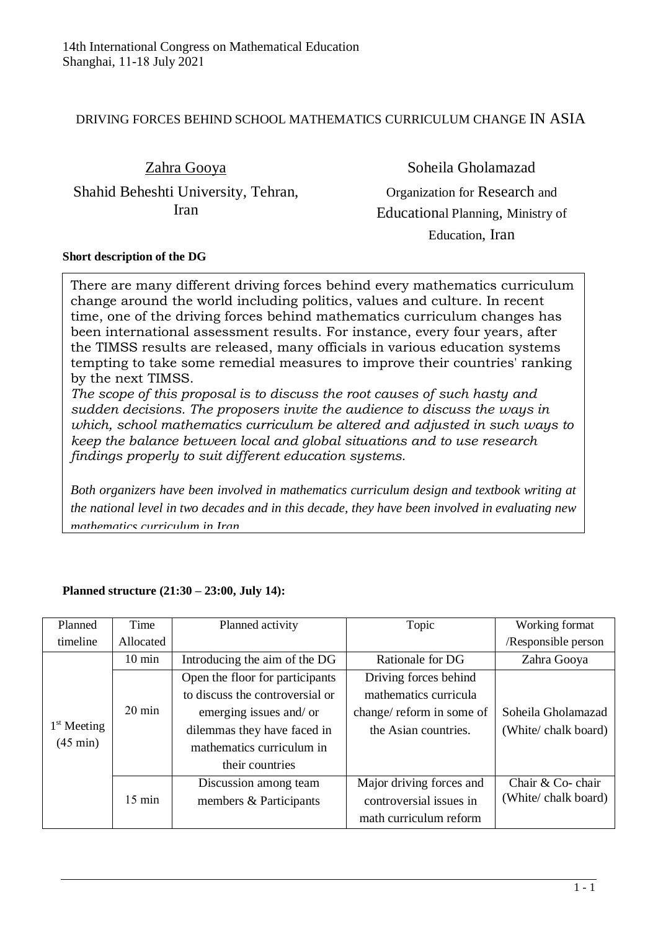## DRIVING FORCES BEHIND SCHOOL MATHEMATICS CURRICULUM CHANGE IN ASIA

Zahra Gooya

Shahid Beheshti University, Tehran, Iran

Soheila Gholamazad Organization for Research and Educational Planning, Ministry of Education, Iran

## **Short description of the DG**

There are many different driving forces behind every mathematics curriculum change around the world including politics, values and culture. In recent time, one of the driving forces behind mathematics curriculum changes has been international assessment results. For instance, every four years, after the TIMSS results are released, many officials in various education systems tempting to take some remedial measures to improve their countries' ranking by the next TIMSS.

*The scope of this proposal is to discuss the root causes of such hasty and sudden decisions. The proposers invite the audience to discuss the ways in which, school mathematics curriculum be altered and adjusted in such ways to keep the balance between local and global situations and to use research findings properly to suit different education systems.* 

*Both organizers have been involved in mathematics curriculum design and textbook writing at the national level in two decades and in this decade, they have been involved in evaluating new mathematics curriculum in Iran.*

| Planned                             | Time             | Planned activity                | Topic                     | Working format      |
|-------------------------------------|------------------|---------------------------------|---------------------------|---------------------|
| timeline                            | Allocated        |                                 |                           | /Responsible person |
| $1st$ Meeting<br>$(45 \text{ min})$ | $10 \text{ min}$ | Introducing the aim of the DG   | Rationale for DG          | Zahra Gooya         |
|                                     |                  | Open the floor for participants | Driving forces behind     |                     |
|                                     |                  | to discuss the controversial or | mathematics curricula     |                     |
|                                     | $20 \text{ min}$ | emerging issues and/ or         | change/ reform in some of | Soheila Gholamazad  |
|                                     |                  | dilemmas they have faced in     | the Asian countries.      | (White/chalk board) |
|                                     |                  | mathematics curriculum in       |                           |                     |
|                                     |                  | their countries                 |                           |                     |
|                                     |                  | Discussion among team           | Major driving forces and  | Chair & Co-chair    |
|                                     | $15 \text{ min}$ | members & Participants          | controversial issues in   | (White/chalk board) |
|                                     |                  |                                 | math curriculum reform    |                     |

## **Planned structure (21:30 – 23:00, July 14):**